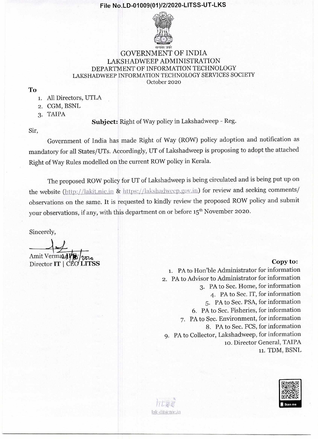

### GOVERNMENT OF INDIA LAKSHADWEEP ADMINISTRATION DEPARTMENT OF INFORMATION TECHNOLOGY LAKSHADWEEP INFORMATION TECHNOLOGY SERVICES SOCIETY October 2020

To

- 1. All Directors, UTLA
- 2. CGM, BSNL
- 3. TAIPA

**Subject:** Right of Way policy in Lakshadweep - Reg.

Sir,

Government of India has made Right of Way (ROW) policy adoption and notification as mandatory for all States/UTs. Accordingly, UT of Lakshadweep is proposing to adopt the attached Right of Way Rules modelled on the current ROW policy in Kerala.

The proposed ROW policy for UT of Lakshadweep is being circulated and is being put up on the website (http://lakit.nic.in & https://lakshadweep.gov.in) for review and seeking comments/ observations on the same. It is requested to kindly review the proposed ROW policy and submit your observations, if any, with this department on or before 15<sup>th</sup> November 2020.

Sincerely,

Amit Verma<sub>24</sub>P Director **IT I //51,6 LITSS** Copy to:

1. PA to Hon'ble Administrator for information 2. PA to Advisor to Administrator for information 3. PA to Sec. Home, for information 4. PA to Sec. IT, for information 5. PA to Sec. PSA, for information 6. PA to Sec. Fisheries, for information 7. PA to Sec. Environment, for information 8. PA to Sec. FCS, for information 9. PA to Collector, Lakshadweep, for information io. Director General, TAIPA 11. TDM, BSNL



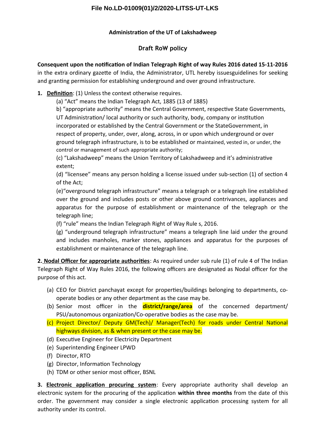## **Administration of the UT of Lakshadweep**

# **Draft RoW policy**

**Consequent upon the notiifation of Indian Telegraph Right of way Rules 2016 dated 15-11-2016**

in the extra ordinary gazete of India, the Administrator, UTL hereby issuesguidelines for seeking and granting permission for establishing underground and over ground infrastructure.

# **1.** Definition: (1) Unless the context otherwise requires.

(a) "Act" means the Indian Telegraph Act, 1885 (13 of 1885)

b) "appropriate authority" means the Central Government, respective State Governments,

UT Administration/ local authority or such authority, body, company or institution incorporated or established by the Central Government or the StateGovernment, in respect of property, under, over, along, across, in or upon which underground or over ground telegraph infrastructure, is to be established or maintained, vested in, or under, the control or management of such appropriate authority;

(c) "Lakshadweep" means the Union Territory of Lakshadweep and it's administratve extent;

(d) "licensee" means any person holding a license issued under sub-section (1) of section 4 of the Act;

(e)"overground telegraph infrastructure" means a telegraph or a telegraph line established over the ground and includes posts or other above ground contrivances, appliances and apparatus for the purpose of establishment or maintenance of the telegraph or the telegraph line;

(f) "rule" means the Indian Telegraph Right of Way Rule  $s$ , 2016.

(g) "underground telegraph infrastructure" means a telegraph line laid under the ground and includes manholes, marker stones, appliances and apparatus for the purposes of establishment or maintenance of the telegraph line.

2. Nodal Officer for appropriate authorities: As required under sub rule (1) of rule 4 of The Indian Telegraph Right of Way Rules 2016, the following officers are designated as Nodal officer for the purpose of this act.

- (a) CEO for District panchayat except for properties/buildings belonging to departments, cooperate bodies or any other department as the case may be.
- (b) Senior most officer in the **district/range/area** of the concerned department/ PSU/autonomous organization/Co-operative bodies as the case may be.
- (c) Project Director/ Deputy GM(Tech)/ Manager(Tech) for roads under Central National highways division, as & when present or the case may be.
- (d) Executve Engineer for Electricity Department
- (e) Superintending Engineer LPWD
- (f) Director, RTO
- (g) Director, Informaton Technology
- (h) TDM or other senior most officer, BSNL

**3. Electronic application procuring system**: Every appropriate authority shall develop an electronic system for the procuring of the applicaton **within three months** from the date of this order. The government may consider a single electronic application processing system for all authority under its control.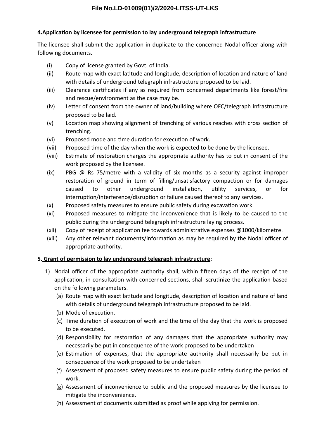### **4. Application by licensee for permission to lay underground telegraph infrastructure**

The licensee shall submit the application in duplicate to the concerned Nodal officer along with following documents.

- $(i)$  Copy of license granted by Govt. of India.
- (ii) Route map with exact latitude and longitude, description of location and nature of land with details of underground telegraph infrastructure proposed to be laid.
- (iii) Clearance certificates if any as required from concerned departments like forest/fire and rescue/environment as the case may be.
- (iv) Letter of consent from the owner of land/building where OFC/telegraph infrastructure proposed to be laid.
- (v) Location map showing alignment of trenching of various reaches with cross section of trenching.
- (vi) Proposed mode and time duration for execution of work.
- (vii) Proposed time of the day when the work is expected to be done by the licensee.
- (viii) Estmate of restoraton charges the appropriate authority has to put in consent of the work proposed by the licensee.
- (ix) PBG  $\omega$  Rs 75/metre with a validity of six months as a security against improper restoration of ground in term of filling/unsatisfactory compaction or for damages caused to other underground installaton, utlity services, or for interruption/interference/disruption or failure caused thereof to any services.
- $(x)$  Proposed safety measures to ensure public safety during excavation work.
- (xi) Proposed measures to mitgate the inconvenience that is likely to be caused to the public during the underground telegraph infrastructure laying process.
- (xii) Copy of receipt of application fee towards administrative expenses  $@1000/kilometer$ .
- (xiii) Any other relevant documents/information as may be required by the Nodal officer of appropriate authority.

### **5. Grant of permission to lay underground telegraph infrastructure:**

- 1) Nodal officer of the appropriate authority shall, within fifteen days of the receipt of the application, in consultation with concerned sections, shall scrutinize the application based on the following parameters.
	- (a) Route map with exact lattude and longitude, descripton of locaton and nature of land with details of underground telegraph infrastructure proposed to be laid.
	- (b) Mode of execution.
	- (c) Time duration of execution of work and the time of the day that the work is proposed to be executed.
	- (d) Responsibility for restoraton of any damages that the appropriate authority may necessarily be put in consequence of the work proposed to be undertaken
	- (e) Estmaton of expenses, that the appropriate authority shall necessarily be put in consequence of the work proposed to be undertaken
	- (f) Assessment of proposed safety measures to ensure public safety during the period of work.
	- (g) Assessment of inconvenience to public and the proposed measures by the licensee to mitigate the inconvenience.
	- (h) Assessment of documents submitted as proof while applying for permission.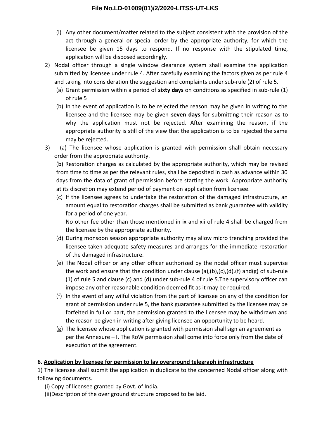- (i) Any other document/matter related to the subject consistent with the provision of the act through a general or special order by the appropriate authority, for which the licensee be given 15 days to respond. If no response with the stipulated time, application will be disposed accordingly.
- 2) Nodal officer through a single window clearance system shall examine the application submitted by licensee under rule 4. After carefully examining the factors given as per rule 4 and taking into consideration the suggestion and complaints under sub-rule (2) of rule 5.
	- (a) Grant permission within a period of **sixty days** on conditions as specified in sub-rule (1) of rule 5
	- (b) In the event of applicaton is to be rejected the reason may be given in writng to the licensee and the licensee may be given seven days for submitting their reason as to why the application must not be rejected. After examining the reason, if the appropriate authority is still of the view that the application is to be rejected the same may be rejected.
- 3) (a) The licensee whose application is granted with permission shall obtain necessary order from the appropriate authority.

(b) Restoration charges as calculated by the appropriate authority, which may be revised from tme to tme as per the relevant rules, shall be deposited in cash as advance within 30 days from the data of grant of permission before starting the work. Appropriate authority at its discretion may extend period of payment on application from licensee.

(c) If the licensee agrees to undertake the restoraton of the damaged infrastructure, an amount equal to restoration charges shall be submitted as bank guarantee with validity for a period of one year.

No other fee other than those mentoned in ix and xii of rule 4 shall be charged from the licensee by the appropriate authority.

- (d) During monsoon season appropriate authority may allow micro trenching provided the licensee taken adequate safety measures and arranges for the immediate restoraton of the damaged infrastructure.
- (e) The Nodal officer or any other officer authorized by the nodal officer must supervise the work and ensure that the condition under clause (a),(b),(c),(d),(f) and(g) of sub-rule (1) of rule 5 and clause (c) and (d) under sub-rule 4 of rule 5. The supervisory officer can impose any other reasonable condition deemed fit as it may be required.
- (f) In the event of any wilful violaton from the part of licensee on any of the conditon for grant of permission under rule 5, the bank guarantee submited by the licensee may be forfeited in full or part, the permission granted to the licensee may be withdrawn and the reason be given in writing after giving licensee an opportunity to be heard.
- (g) The licensee whose application is granted with permission shall sign an agreement as per the Annexure  $-1$ . The RoW permission shall come into force only from the date of execution of the agreement.

### **6. Application by licensee for permission to lay overground telegraph infrastructure**

1) The licensee shall submit the application in duplicate to the concerned Nodal officer along with following documents.

- (i) Copy of licensee granted by Govt. of India.
- (ii)Description of the over ground structure proposed to be laid.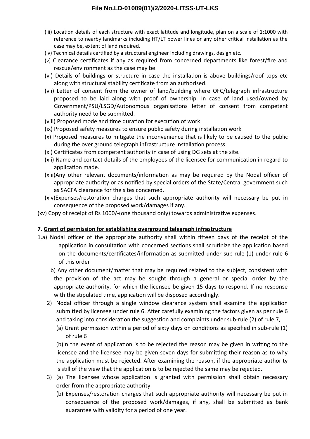- (iii) Locaton details of each structure with exact lattude and longitude, plan on a scale of 1:1000 with reference to nearby landmarks including HT/LT power lines or any other critical installation as the case may be, extent of land required.
- (iv) Technical details certified by a structural engineer including drawings, design etc.
- (v) Clearance certificates if any as required from concerned departments like forest/fire and rescue/environment as the case may be.
- (vi) Details of buildings or structure in case the installation is above buildings/roof tops etc along with structural stability certificate from an authorised.
- (vii) Letter of consent from the owner of land/building where OFC/telegraph infrastructure proposed to be laid along with proof of ownership. In case of land used/owned by Government/PSU/LSGD/Autonomous organisations letter of consent from competent authority need to be submitted.
- (viii) Proposed mode and time duration for execution of work
- (ix) Proposed safety measures to ensure public safety during installaton work
- (x) Proposed measures to mitgate the inconvenience that is likely to be caused to the public during the over ground telegraph infrastructure installation process.
- (xi) Certificates from competent authority in case of using DG sets at the site.
- (xii) Name and contact details of the employees of the licensee for communicaton in regard to application made.
- (xiii)Any other relevant documents/information as may be required by the Nodal officer of appropriate authority or as notified by special orders of the State/Central government such as SACFA clearance for the sites concerned.
- (xiv)Expenses/restoration charges that such appropriate authority will necessary be put in consequence of the proposed work/damages if any.
- (xv) Copy of receipt of Rs 1000/-(one thousand only) towards administrative expenses.

### **7. Grant of permission for establishing overground telegraph infrastrufture**

- 1.a) Nodal officer of the appropriate authority shall within fifteen days of the receipt of the application in consultation with concerned sections shall scrutinize the application based on the documents/certificates/information as submitted under sub-rule (1) under rule 6 of this order
	- b) Any other document/matter that may be required related to the subject, consistent with the provision of the act may be sought through a general or special order by the appropriate authority, for which the licensee be given 15 days to respond. If no response with the stipulated time, application will be disposed accordingly.
	- 2) Nodal officer through a single window clearance system shall examine the application submitted by licensee under rule 6. After carefully examining the factors given as per rule 6 and taking into consideration the suggestion and complaints under sub-rule (2) of rule 7,
		- (a) Grant permission within a period of sixty days on conditions as specified in sub-rule (1) of rule 6

(b)In the event of applicaton is to be rejected the reason may be given in writng to the licensee and the licensee may be given seven days for submitting their reason as to why the application must be rejected. After examining the reason, if the appropriate authority is still of the view that the application is to be rejected the same may be rejected.

- 3) (a) The licensee whose applicaton is granted with permission shall obtain necessary order from the appropriate authority.
	- (b) Expenses/restoration charges that such appropriate authority will necessary be put in consequence of the proposed work/damages, if any, shall be submitted as bank guarantee with validity for a period of one year.